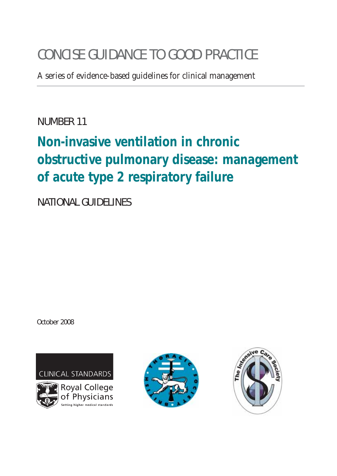# CONCISE GUIDANCE TO GOOD PRACTICE

A series of evidence-based guidelines for clinical management

NUMBER 11

# **Non-invasive ventilation in chronic obstructive pulmonary disease: management of acute type 2 respiratory failure**

NATIONAL GUIDELINES

October 2008

**CLINICAL STANDARDS** 





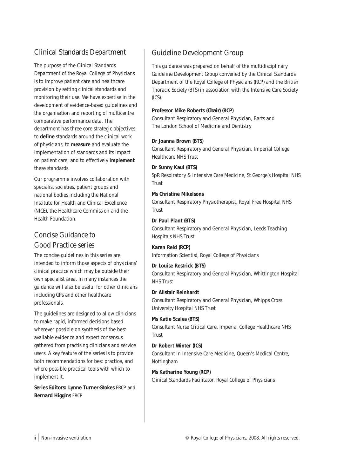## Clinical Standards Department

The purpose of the Clinical Standards Department of the Royal College of Physicians is to improve patient care and healthcare provision by setting clinical standards and monitoring their use. We have expertise in the development of evidence-based guidelines and the organisation and reporting of multicentre comparative performance data. The department has three core strategic objectives: to **define** standards around the clinical work of physicians, to **measure** and evaluate the implementation of standards and its impact on patient care; and to effectively **implement** these standards.

Our programme involves collaboration with specialist societies, patient groups and national bodies including the National Institute for Health and Clinical Excellence (NICE), the Healthcare Commission and the Health Foundation.

# Concise Guidance to Good Practice series

The concise guidelines in this series are intended to inform those aspects of physicians' clinical practice which may be outside their own specialist area. In many instances the guidance will also be useful for other clinicians including GPs and other healthcare professionals.

The guidelines are designed to allow clinicians to make rapid, informed decisions based wherever possible on synthesis of the best available evidence and expert consensus gathered from practising clinicians and service users. A key feature of the series is to provide both recommendations for best practice, and where possible practical tools with which to implement it.

**Series Editors: Lynne Turner-Stokes** FRCP and **Bernard Higgins** FRCP

# Guideline Development Group

This guidance was prepared on behalf of the multidisciplinary Guideline Development Group convened by the Clinical Standards Department of the Royal College of Physicians (RCP) and the British Thoracic Society (BTS) in association with the Intensive Care Society (ICS).

#### **Professor Mike Roberts (***Chair***) (RCP)**

Consultant Respiratory and General Physician, Barts and The London School of Medicine and Dentistry

### **Dr Joanna Brown (BTS)**

Consultant Respiratory and General Physician, Imperial College Healthcare NHS Trust

#### **Dr Sunny Kaul (BTS)**

SpR Respiratory & Intensive Care Medicine, St George's Hospital NHS Trust

#### **Ms Christine Mikelsons**

Consultant Respiratory Physiotherapist, Royal Free Hospital NHS **Trust** 

### **Dr Paul Plant (BTS)**

Consultant Respiratory and General Physician, Leeds Teaching Hospitals NHS Trust

### **Karen Reid (RCP)**

Information Scientist, Royal College of Physicians

### **Dr Louise Restrick (BTS)**

Consultant Respiratory and General Physician, Whittington Hospital NHS Trust

#### **Dr Alistair Reinhardt**

Consultant Respiratory and General Physician, Whipps Cross University Hospital NHS Trust

### **Ms Katie Scales (BTS)**

Consultant Nurse Critical Care, Imperial College Healthcare NHS **Trust** 

### **Dr Robert Winter (ICS)**

Consultant in Intensive Care Medicine, Queen's Medical Centre, Nottingham

### **Ms Katharine Young (RCP)**

Clinical Standards Facilitator, Royal College of Physicians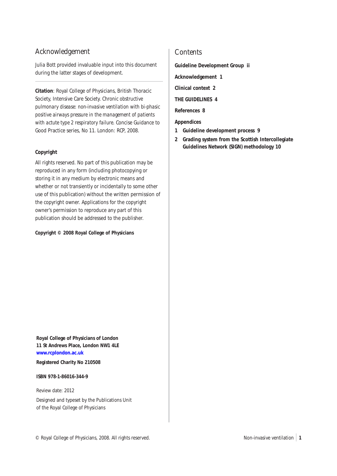## Acknowledgement

Julia Bott provided invaluable input into this document during the latter stages of development.

**Citation**: Royal College of Physicians, British Thoracic Society, Intensive Care Society. *Chronic obstructive pulmonary disease: non-invasive ventilation with bi-phasic positive airways pressure in the management of patients with actute type 2 respiratory failure*. Concise Guidance to Good Practice series, No 11. London: RCP, 2008.

#### **Copyright**

All rights reserved. No part of this publication may be reproduced in any form (including photocopying or storing it in any medium by electronic means and whether or not transiently or incidentally to some other use of this publication) without the written permission of the copyright owner. Applications for the copyright owner's permission to reproduce any part of this publication should be addressed to the publisher.

#### **Copyright © 2008 Royal College of Physicians**

**Contents** 

**Guideline Development Group ii**

**Acknowledgement 1**

**Clinical context 2**

**THE GUIDELINES 4**

**References 8**

**Appendices**

- **1 Guideline development process 9**
- **2 Grading system from the Scottish Intercollegiate Guidelines Network (SIGN) methodology 10**

**Royal College of Physicians of London 11 St Andrews Place, London NW1 4LE [www.rcplondon.ac.uk](http://www.rcplondon.ac.uk)**

**Registered Charity No 210508**

**ISBN 978-1-86016-344-9**

Review date: 2012

Designed and typeset by the Publications Unit of the Royal College of Physicians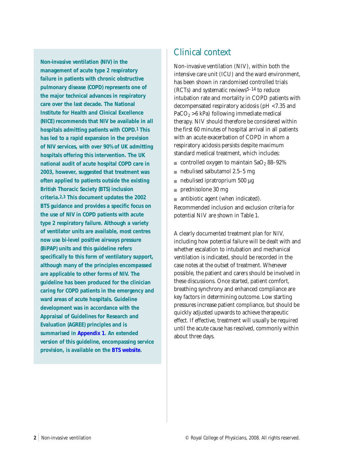**Non-invasive ventilation (NIV) in the management of acute type 2 respiratory failure in patients with chronic obstructive pulmonary disease (COPD) represents one of the major technical advances in respiratory care over the last decade. The National Institute for Health and Clinical Excellence (NICE) recommends that NIV be available in all hospitals admitting patients with COPD.1 This has led to a rapid expansion in the provision of NIV services, with over 90% of UK admitting hospitals offering this intervention. The UK national audit of acute hospital COPD care in 2003, however, suggested that treatment was often applied to patients outside the existing British Thoracic Society (BTS) inclusion criteria.2,3 This document updates the 2002 BTS guidance and provides a specific focus on the use of NIV in COPD patients with acute type 2 respiratory failure. Although a variety of ventilator units are available, most centres now use bi-level positive airways pressure (BiPAP) units and this guideline refers specifically to this form of ventilatory support, although many of the principles encompassed are applicable to other forms of NIV. The guideline has been produced for the clinician caring for COPD patients in the emergency and ward areas of acute hospitals. Guideline development was in accordance with the Appraisal of Guidelines for Research and Evaluation (AGREE) principles and is summarised in [Appendix 1](#page-10-0). An extended version of this guideline, encompassing service provision, is available on the [BTS website.](http://www.brit-thoracic.org.uk/)**

# Clinical context

Non-invasive ventilation (NIV), within both the intensive care unit (ICU) and the ward environment, has been shown in randomised controlled trials (RCTs) and systematic reviews5–14 to reduce intubation rate and mortality in COPD patients with decompensated respiratory acidosis (pH <7.35 and  $PaCO<sub>2</sub> > 6$  kPa) following immediate medical therapy. NIV should therefore be considered within the first 60 minutes of hospital arrival in all patients with an acute exacerbation of COPD in whom a respiratory acidosis persists despite maximum standard medical treatment, which includes:

- controlled oxygen to maintain  $SaO_2 88-92%$
- nebulised salbutamol  $2.5-5$  mg
- $\blacksquare$  nebulised ipratroprium 500 µg
- prednisolone 30 mg
- antibiotic agent (when indicated).

Recommended inclusion and exclusion criteria for potential NIV are shown in Table 1.

A clearly documented treatment plan for NIV, including how potential failure will be dealt with and whether escalation to intubation and mechanical ventilation is indicated, should be recorded in the case notes at the outset of treatment. Whenever possible, the patient and carers should be involved in these discussions. Once started, patient comfort, breathing synchrony and enhanced compliance are key factors in determining outcome. Low starting pressures increase patient compliance, but should be quickly adjusted upwards to achieve therapeutic effect. If effective, treatment will usually be required until the acute cause has resolved, commonly within about three days.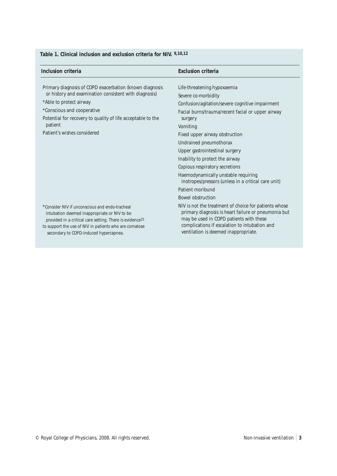## **Table 1. Clinical inclusion and exclusion criteria for NIV. 9,10,12**

| Inclusion criteria                                                                                                                                                                                                                                                                 | <b>Exclusion criteria</b>                                                                                                                                                                                                                                                                                                                                                                                                        |
|------------------------------------------------------------------------------------------------------------------------------------------------------------------------------------------------------------------------------------------------------------------------------------|----------------------------------------------------------------------------------------------------------------------------------------------------------------------------------------------------------------------------------------------------------------------------------------------------------------------------------------------------------------------------------------------------------------------------------|
| Primary diagnosis of COPD exacerbation (known diagnosis<br>or history and examination consistent with diagnosis)<br>*Able to protect airway<br>*Conscious and cooperative<br>Potential for recovery to quality of life acceptable to the<br>patient<br>Patient's wishes considered | Life-threatening hypoxaemia<br>Severe co-morbidity<br>Confusion/agitation/severe cognitive impairment<br>Facial burns/trauma/recent facial or upper airway<br>surgery<br>Vomiting<br>Fixed upper airway obstruction<br>Undrained pneumothorax<br>Upper gastrointestinal surgery<br>Inability to protect the airway                                                                                                               |
| *Consider NIV if unconscious and endo-tracheal<br>intubation deemed inappropriate or NIV to be<br>provided in a critical care setting. There is evidence <sup>15</sup><br>to support the use of NIV in patients who are comatose<br>secondary to COPD-induced hypercapnea.         | Copious respiratory secretions<br>Haemodynamically unstable requiring<br>inotropes/pressors (unless in a critical care unit)<br>Patient moribund<br><b>Bowel obstruction</b><br>NIV is not the treatment of choice for patients whose<br>primary diagnosis is heart failure or pneumonia but<br>may be used in COPD patients with these<br>complications if escalation to intubation and<br>ventilation is deemed inappropriate. |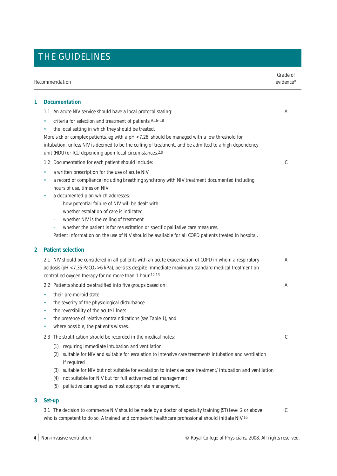|                           | Grade of<br>Recommendation<br>evidence*                                                                                                                                                                                                                                                                                                                                                                    |   |
|---------------------------|------------------------------------------------------------------------------------------------------------------------------------------------------------------------------------------------------------------------------------------------------------------------------------------------------------------------------------------------------------------------------------------------------------|---|
| <b>Documentation</b><br>1 |                                                                                                                                                                                                                                                                                                                                                                                                            |   |
|                           | 1.1 An acute NIV service should have a local protocol stating:                                                                                                                                                                                                                                                                                                                                             | A |
|                           | criteria for selection and treatment of patients 9,16-18<br>۰<br>the local setting in which they should be treated.<br>۰<br>More sick or complex patients, eg with a pH <7.26, should be managed with a low threshold for<br>intubation, unless NIV is deemed to be the ceiling of treatment, and be admitted to a high dependency<br>unit (HDU) or ICU depending upon local circumstances. <sup>2,9</sup> |   |
|                           | 1.2 Documentation for each patient should include:                                                                                                                                                                                                                                                                                                                                                         | C |
|                           | a written prescription for the use of acute NIV<br>۰<br>a record of compliance including breathing synchrony with NIV treatment documented including<br>٠<br>hours of use, times on NIV<br>a documented plan which addresses:<br>٠<br>how potential failure of NIV will be dealt with                                                                                                                      |   |
|                           | ۰<br>whether escalation of care is indicated                                                                                                                                                                                                                                                                                                                                                               |   |
|                           | whether NIV is the ceiling of treatment<br>-                                                                                                                                                                                                                                                                                                                                                               |   |
|                           | whether the patient is for resuscitation or specific palliative care measures.<br>÷<br>Patient information on the use of NIV should be available for all COPD patients treated in hospital.                                                                                                                                                                                                                |   |
| $\overline{2}$            | <b>Patient selection</b>                                                                                                                                                                                                                                                                                                                                                                                   |   |
|                           | 2.1 NIV should be considered in all patients with an acute exacerbation of COPD in whom a respiratory<br>acidosis (pH <7.35 PaCO <sub>2</sub> >6 kPa), persists despite immediate maximum standard medical treatment on<br>controlled oxygen therapy for no more than 1 hour.12,13                                                                                                                         | A |
|                           | 2.2 Patients should be stratified into five groups based on:                                                                                                                                                                                                                                                                                                                                               | A |
|                           | their pre-morbid state<br>٠<br>the severity of the physiological disturbance<br>۰<br>the reversibility of the acute illness<br>٠<br>the presence of relative contraindications (see Table 1), and<br>٠<br>where possible, the patient's wishes.                                                                                                                                                            |   |
|                           | 2.3 The stratification should be recorded in the medical notes:                                                                                                                                                                                                                                                                                                                                            | C |
|                           | requiring immediate intubation and ventilation<br>(1)<br>suitable for NIV and suitable for escalation to intensive care treatment/ intubation and ventilation<br>(2)<br>if required<br>suitable for NIV but not suitable for escalation to intensive care treatment/ intubation and ventilation<br>(3)<br>not suitable for NIV but for full active medical management<br>(4)                               |   |
|                           | (5)<br>palliative care agreed as most appropriate management.                                                                                                                                                                                                                                                                                                                                              |   |
| 3                         | Set-up                                                                                                                                                                                                                                                                                                                                                                                                     |   |
|                           | 3.1 The decision to commence NIV should be made by a doctor of specialty training (ST) level 2 or above<br>who is competent to do so. A trained and competent healthcare professional should initiate NIV.16                                                                                                                                                                                               | C |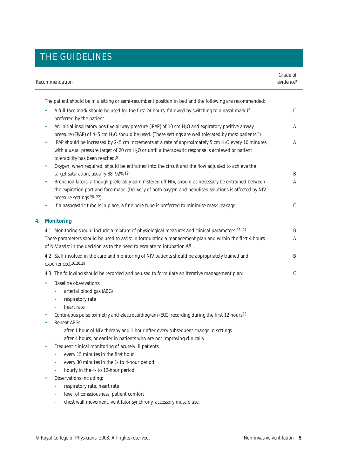| Recommendation                                                                                                                                                                                                                                                                             | Grade of<br>evidence* |
|--------------------------------------------------------------------------------------------------------------------------------------------------------------------------------------------------------------------------------------------------------------------------------------------|-----------------------|
| The patient should be in a sitting or semi-recumbent position in bed and the following are recommended:                                                                                                                                                                                    |                       |
| A full-face mask should be used for the first 24 hours, followed by switching to a nasal mask if<br>preferred by the patient.                                                                                                                                                              | C                     |
| An initial inspiratory positive airway pressure (IPAP) of 10 cm $H2O$ and expiratory positive airway<br>pressure (EPAP) of 4-5 cm H <sub>2</sub> O should be used. (These settings are well tolerated by most patients.9)                                                                  | А                     |
| IPAP should be increased by 2-5 cm increments at a rate of approximately 5 cm H <sub>2</sub> O every 10 minutes,<br>$\bullet$<br>with a usual pressure target of 20 cm H <sub>2</sub> O or until a therapeutic response is achieved or patient<br>tolerability has been reached.9          | Α                     |
| Oxygen, when required, should be entrained into the circuit and the flow adjusted to achieve the<br>$\bullet$<br>target saturation, usually 88-92%.19                                                                                                                                      | B                     |
| Bronchodilators, although preferably administered off NIV, should as necessary be entrained between<br>$\bullet$<br>the expiration port and face mask. (Delivery of both oxygen and nebulised solutions is affected by NIV<br>pressure settings. 20-22)                                    | Α                     |
| If a nasogastric tube is in place, a fine bore tube is preferred to minimise mask leakage.<br>$\bullet$                                                                                                                                                                                    | C                     |
| <b>Monitoring</b><br>4.                                                                                                                                                                                                                                                                    |                       |
| 4.1 Monitoring should include a mixture of physiological measures and clinical parameters. 23-27<br>These parameters should be used to assist in formulating a management plan and within the first 4 hours<br>of NIV assist in the decision as to the need to escalate to intubation. 4,9 | Β<br>Α                |
| 4.2 Staff involved in the care and monitoring of NIV patients should be appropriately trained and<br>experienced.16,28,29                                                                                                                                                                  | B                     |
| 4.3 The following should be recorded and be used to formulate an iterative management plan:                                                                                                                                                                                                | C                     |
| <b>Baseline observations:</b><br>arterial blood gas (ABG)<br>÷<br>respiratory rate<br>÷<br>heart rate<br>÷,                                                                                                                                                                                |                       |
| Continuous pulse oximetry and electrocardiogram (ECG) recording during the first 12 hours23<br>Repeat ABGs:                                                                                                                                                                                |                       |
| after 1 hour of NIV therapy and 1 hour after every subsequent change in settings<br>after 4 hours, or earlier in patients who are not improving clinically<br>-                                                                                                                            |                       |
| Frequent clinical monitoring of acutely ill patients:<br>۰<br>every 15 minutes in the first hour<br>every 30 minutes in the 1- to 4-hour period<br>hourly in the 4- to 12-hour period                                                                                                      |                       |
| Observations including:<br>respiratory rate, heart rate<br>-<br>level of consciousness, patient comfort<br>chest wall movement, ventilator synchrony, accessory muscle use.                                                                                                                |                       |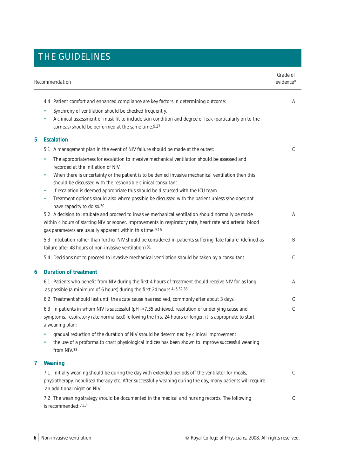| Recommendation |                                                                                                                                                                                                                                                                                                                                                                                                                                                                                                                                                                                                                                                                                                                                                                                                                                                               | Grade of<br>evidence* |
|----------------|---------------------------------------------------------------------------------------------------------------------------------------------------------------------------------------------------------------------------------------------------------------------------------------------------------------------------------------------------------------------------------------------------------------------------------------------------------------------------------------------------------------------------------------------------------------------------------------------------------------------------------------------------------------------------------------------------------------------------------------------------------------------------------------------------------------------------------------------------------------|-----------------------|
|                | 4.4 Patient comfort and enhanced compliance are key factors in determining outcome:<br>Synchrony of ventilation should be checked frequently.<br>۰<br>A clinical assessment of mask fit to include skin condition and degree of leak (particularly on to the<br>$\bullet$<br>corneas) should be performed at the same time.9,27                                                                                                                                                                                                                                                                                                                                                                                                                                                                                                                               | A                     |
| 5              | <b>Escalation</b>                                                                                                                                                                                                                                                                                                                                                                                                                                                                                                                                                                                                                                                                                                                                                                                                                                             |                       |
|                | 5.1 A management plan in the event of NIV failure should be made at the outset:<br>The appropriateness for escalation to invasive mechanical ventilation should be assessed and<br>۰<br>recorded at the initiation of NIV.<br>When there is uncertainty or the patient is to be denied invasive mechanical ventilation then this<br>۰<br>should be discussed with the responsible clinical consultant.<br>If escalation is deemed appropriate this should be discussed with the ICU team.<br>٠<br>Treatment options should also where possible be discussed with the patient unless s/he does not<br>$\bullet$<br>have capacity to do so.30<br>5.2 A decision to intubate and proceed to invasive mechanical ventilation should normally be made<br>within 4 hours of starting NIV or sooner. Improvements in respiratory rate, heart rate and arterial blood | C<br>Α                |
|                | gas parameters are usually apparent within this time.9,16<br>5.3 Intubation rather than further NIV should be considered in patients suffering 'late failure' (defined as<br>failure after 48 hours of non-invasive ventilation).31                                                                                                                                                                                                                                                                                                                                                                                                                                                                                                                                                                                                                           | B                     |
|                | 5.4 Decisions not to proceed to invasive mechanical ventilation should be taken by a consultant.                                                                                                                                                                                                                                                                                                                                                                                                                                                                                                                                                                                                                                                                                                                                                              | C                     |
| 6              | <b>Duration of treatment</b>                                                                                                                                                                                                                                                                                                                                                                                                                                                                                                                                                                                                                                                                                                                                                                                                                                  |                       |
|                | 6.1 Patients who benefit from NIV during the first 4 hours of treatment should receive NIV for as long<br>as possible (a minimum of 6 hours) during the first 24 hours. 4-6,32,33                                                                                                                                                                                                                                                                                                                                                                                                                                                                                                                                                                                                                                                                             | Α                     |
|                | 6.2 Treatment should last until the acute cause has resolved, commonly after about 3 days.                                                                                                                                                                                                                                                                                                                                                                                                                                                                                                                                                                                                                                                                                                                                                                    | C                     |
|                | 6.3 In patients in whom NIV is successful (pH ≥7.35 achieved, resolution of underlying cause and<br>symptoms, respiratory rate normalised) following the first 24 hours or longer, it is appropriate to start<br>a weaning plan:<br>gradual reduction of the duration of NIV should be determined by clinical improvement<br>۰<br>the use of a proforma to chart physiological indices has been shown to improve successful weaning<br>٠<br>from NIV.33                                                                                                                                                                                                                                                                                                                                                                                                       | C                     |
| 7              | Weaning                                                                                                                                                                                                                                                                                                                                                                                                                                                                                                                                                                                                                                                                                                                                                                                                                                                       |                       |
|                | 7.1 Initially weaning should be during the day with extended periods off the ventilator for meals,<br>physiotherapy, nebulised therapy etc. After successfully weaning during the day, many patients will require<br>an additional night on NIV.                                                                                                                                                                                                                                                                                                                                                                                                                                                                                                                                                                                                              | C                     |
|                | 7.2 The weaning strategy should be documented in the medical and nursing records. The following<br>is recommended: 7,17                                                                                                                                                                                                                                                                                                                                                                                                                                                                                                                                                                                                                                                                                                                                       | C                     |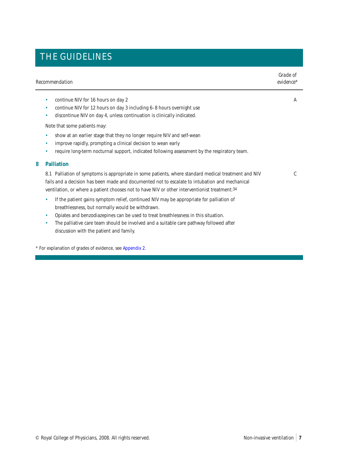| Recommendation |                                                                                                                                                                                                                                                                                                                                                                                       | Grade of<br>evidence* |  |
|----------------|---------------------------------------------------------------------------------------------------------------------------------------------------------------------------------------------------------------------------------------------------------------------------------------------------------------------------------------------------------------------------------------|-----------------------|--|
|                | continue NIV for 16 hours on day 2<br>٠<br>continue NIV for 12 hours on day 3 including 6-8 hours overnight use<br>۰<br>discontinue NIV on day 4, unless continuation is clinically indicated.<br>۰                                                                                                                                                                                   | A                     |  |
|                | Note that some patients may:                                                                                                                                                                                                                                                                                                                                                          |                       |  |
|                | show at an earlier stage that they no longer require NIV and self-wean<br>٠<br>improve rapidly, prompting a clinical decision to wean early<br>۰<br>require long-term nocturnal support, indicated following assessment by the respiratory team.<br>۰                                                                                                                                 |                       |  |
| 8              | <b>Palliation</b>                                                                                                                                                                                                                                                                                                                                                                     |                       |  |
|                | 8.1 Palliation of symptoms is appropriate in some patients, where standard medical treatment and NIV<br>fails and a decision has been made and documented not to escalate to intubation and mechanical<br>ventilation, or where a patient chooses not to have NIV or other interventionist treatment: 34                                                                              | C                     |  |
|                | If the patient gains symptom relief, continued NIV may be appropriate for palliation of<br>٠<br>breathlessness, but normally would be withdrawn.<br>Opiates and benzodiazepines can be used to treat breathlessness in this situation.<br>٠<br>The palliative care team should be involved and a suitable care pathway followed after<br>٠<br>discussion with the patient and family. |                       |  |
|                |                                                                                                                                                                                                                                                                                                                                                                                       |                       |  |

\* For explanation of grades of evidence, see [Appendix 2.](#page-11-0)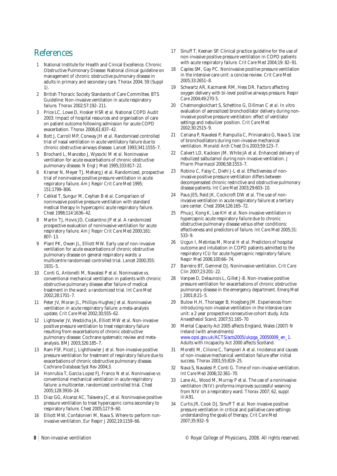# References

- 1 National Institute for Health and Cinical Excellence. Chronic Obstructive Pulmonary Disease: National clinical guideline on management of chronic obstructive pulmonary disease in adults in primary and secondary care. *Thorax* 2004; 59 (Suppl 1).
- 2 British Thoracic Society Standards of Care Committee. BTS Guideline: Non-invasive ventilation in acute respiratory failure. *Thorax* 2002;57:192–211.
- 3 Price LC, Lowe D, Hosker HSR *et al*. National COPD Audit 2003: Impact of hospital resources and organisation of care on patient outcome following admission for acute COPD exacerbation. *Thorax* 2006;61:837–42.
- 4 Bott J, Carroll MP, Conway JH *et al*. Randomised controlled trial of nasal ventilation in acute ventilatory failure due to chronic obstructive airways disease. *Lancet* 1993;341:1555–7.
- 5 Brochard L, Mancebo J, Wysocki M *et al*. Noninvasive ventilation for acute exacerbations of chronic obstructive pulmonary disease. *N Engl J Med* 1995;333:817–22.
- 6 Kramer N, Meyer TJ, Meharg J *et al*. Randomized, prospective trial of noninvasive positive pressure ventilation in acute respiratory failure. *Am J Respir Crit Care Med* 1995; 151:1799–806.
- 7 Celikel T, Sungur M, Ceyhan B *et al*. Comparison of noninvasive positive pressure ventilation with standard medical therapy in hypercapnic acute respiratory failure. *Chest* 1998;114:1636–42.
- 8 Martin TJ, Hovis JD, Costantino JP *et al*. A randomized prospective evaluation of noninvasive ventilation for acute respiratory failure. *Am J Respir Crit Care Med* 2000;161: 807–13.
- 9 Plant PK, Owen JL, Elliott MW. Early use of non-invasive ventilation for acute exacerbations of chronic obstructive pulmonary disease on general respiratory wards: a multicentre randomised controlled trial. *Lancet* 2000;355: 1931–5.
- 10 Conti G, Antonelli M, Navalesi P *et al*. Noninvasive vs. conventional mechanical ventilation in patients with chronic obstructive pulmonary disease after failure of medical treatment in the ward: a randomized trial. *Int Care Med* 2002;28:1701–7.
- 11 Peter JV, Moran JL, Phillips-Hughes J *et al*. Noninvasive ventilation in acute respiratory failure: a meta-analysis update. *Crit Care Med* 2002;30;555–62.
- 12 Lightowler JV, Wedzicha JA, Elliott MW *et al*. Non-invasive positive pressure ventilation to treat respiratory failure resulting from exacerbations of chronic obstructive pulmonary disease: Cochrane systematic review and metaanalysis. *BMJ* 2003;326:185–7.
- 13 Ram FSF, Picot J, Lighthowler J *et al*. Non-invasive positive pressure ventilation for treatment of respiratory failure due to exacerbations of chronic obstructive pulmonary disease. *Cochrane Database Syst Rev* 2004;3.
- 14 Honrubia T, Garcia Lopez FJ, Franco N *et al*. Noninvasive vs conventional mechanical ventilation in acute respiratory failure: a multicenter, randomized controlled trial. *Chest* 2005;128:3916–24.
- 15 Diaz GG, Alcaraz AC, Talavera JC, *et al*. Noninvasive positivepressure ventilation to treat hypercapnic coma secondary to respiratory failure. *Chest* 2005;127:9–60.
- 16 Elliott MW, Confalonieri M, Nava S. Where to perform noninvasive ventilation. *Eur Respir J* 2002;19:1159–66.
- 17 Sinuff T, Keenan SP. Clinical practice guideline for the use of non-invasive positive pressure ventilation in COPD patients with acute respiratory failure. *Crit Care Med* 2004;19: 82–91.
- 18 Caples SM, Gay PC. Noninvasive positive pressure ventilation in the intensive care unit: a concise review. *Crit Care Med* 2005;33:2651–8.
- 19 Schwartz AR, Kacmarek RM, Hess DR. Factors affecting oxygen delivery with bi-level positive airways pressure. *Respir Care* 2004;49:270-5.
- 20 Chatmongkolchart S, Schettino G, Dillman C *et al*. In vitro evaluation of aerosolized bronchodilator delivery during noninvasive positive pressure ventilation: effect of ventilator settings and nebulizer position. *Crit Care Med* 2002;30:2515–9.
- 21 Ceriana P, Navalesi P, Rampulla C, Prinianakis G, Nava S. Use of bronchodilators during non-invasive mechanical ventilation. *Monaldi Arch Chest Dis* 2003;59:123–7.
- 22 Calvert LD, Kackson JM, White JA *et al*. Enhanced delivery of nebulized salbutamol during non-invasive ventilation. *J Pharm Pharmacol* 2006;58:1553–7.
- 23 Robino C, Faisy C, Diehl J-L *et al*. Effectiveness of noninvasive positive pressure ventilation differs between decompensated chronic restrictive and obstructive pulmonary disease patients. *Int Care Med* 2003;29:603–10.
- 24 Paus JES, Reid JK, Cockcroft DW *et al*. The use of noninvasive ventilation in acute respiratory failure at a tertiary care center. *Chest* 2004;126:165–72.
- 25 Phua J, Kong K, Lee KH *et al*. Non-invasive ventilation in hypercapnic acute respiratory failure due to chronic obstructive pulmonary disease versus other conditions: effectiveness and predictors of failure. *Int Care Med* 2005;31: 533–9.
- 26 Ucgun I, Metintas M, Moral H *et al*. Predictors of hospital outcome and intubation in COPD patients admitted to the respiratory ICU for acute hypercapnic respiratory failure. *Respir Med* 2006;100:66–74.
- 27 Barreiro BT, Gemmel DJ. Noninvasive ventilation. *Crit Care Clin* 2007;23:201–22.
- 28 Vanpee D, Delaunois L, Gillet J-B. Non-invasive positive pressure ventilation for exacerbations of chronic obstructive pulmonary disease in the emergency department. *Emerg Med J* 2001;8:21–5.
- 29 Bulow H.H, Thorsager B, Hoejberg JM. Experiences from introducing non-invasive ventilation in the intensive care unit: a 2 year prospective consecutive cohort study. *Acta Anaesthesiol Scand*; 2007;51:165–70
- 30 Mental Capacity Act 2005 affects England, Wales (2007) N Ireland (with amendments) [www.opsi.gov.uk/ACTS/acts2005/ukpga\\_20050009\\_en\\_1.](http://www.opsi.gov.uk/ACTS/acts2005/ukpga_20050009_en_1) Adults with Incapacity Act 2000 affects Scotland.
- 31 Moretti M, Cilione C, Tampieri A *et al*. Incidence and causes of non-invasive mechanical ventilation failure after initial success. *Thorax* 2001;55:819–25.
- 32 Nava S, Navalesi P, Conti G. Time of non-invasive ventilation. *Int Care Med* 2006;32:361–70.
- 33 Lane AL, Wood M, Murray P *et al*. The use of a noninvasive ventilation (NIV) proforma improves successful weaning from NIV on a respiratory ward. *Thorax* 2007; 62, suppl iii:A91.
- 34 Curtis JR, Cook DJ, Sinuff T *et al*. Non invasive positive pressure ventilation in critical and palliative care settings: understanding the goals of therapy. *Crit Care Med* 2007;35:932–9.

8 Non-invasive ventilation **8** Non-invasive ventilation **College of Physicians**, 2008. All rights reserved.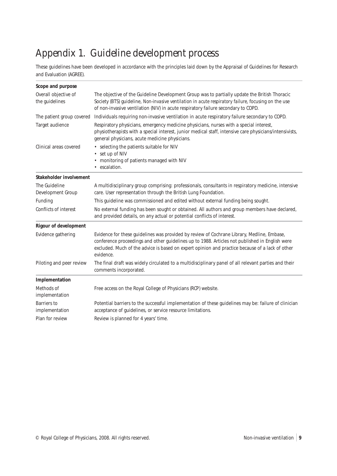# <span id="page-10-0"></span>Appendix 1. Guideline development process

These guidelines have been developed in accordance with the principles laid down by the Appraisal of Guidelines for Research and Evaluation (AGREE).

| Scope and purpose                      |                                                                                                                                                                                                                                                                                                              |  |  |
|----------------------------------------|--------------------------------------------------------------------------------------------------------------------------------------------------------------------------------------------------------------------------------------------------------------------------------------------------------------|--|--|
| Overall objective of<br>the guidelines | The objective of the Guideline Development Group was to partially update the British Thoracic<br>Society (BTS) guideline, Non-invasive ventilation in acute respiratory failure, focusing on the use<br>of non-invasive ventilation (NIV) in acute respiratory failure secondary to COPD.                    |  |  |
| The patient group covered              | Individuals requiring non-invasive ventilation in acute respiratory failure secondary to COPD.                                                                                                                                                                                                               |  |  |
| Target audience                        | Respiratory physicians, emergency medicine physicians, nurses with a special interest,<br>physiotherapists with a special interest, junior medical staff, intensive care physicians/intensivists,<br>general physicians, acute medicine physicians.                                                          |  |  |
| Clinical areas covered                 | • selecting the patients suitable for NIV<br>• set up of NIV<br>• monitoring of patients managed with NIV<br>• escalation.                                                                                                                                                                                   |  |  |
| Stakeholder involvement                |                                                                                                                                                                                                                                                                                                              |  |  |
| The Guideline<br>Development Group     | A multidisciplinary group comprising: professionals, consultants in respiratory medicine, intensive<br>care. User representation through the British Lung Foundation.                                                                                                                                        |  |  |
| Funding                                | This guideline was commissioned and edited without external funding being sought.                                                                                                                                                                                                                            |  |  |
| Conflicts of interest                  | No external funding has been sought or obtained. All authors and group members have declared,<br>and provided details, on any actual or potential conflicts of interest.                                                                                                                                     |  |  |
| <b>Rigour of development</b>           |                                                                                                                                                                                                                                                                                                              |  |  |
| Evidence gathering                     | Evidence for these guidelines was provided by review of Cochrane Library, Medline, Embase,<br>conference proceedings and other guidelines up to 1988. Articles not published in English were<br>excluded. Much of the advice is based on expert opinion and practice because of a lack of other<br>evidence. |  |  |
| Piloting and peer review               | The final draft was widely circulated to a multidisciplinary panel of all relevant parties and their<br>comments incorporated.                                                                                                                                                                               |  |  |
| Implementation                         |                                                                                                                                                                                                                                                                                                              |  |  |
| Methods of<br>implementation           | Free access on the Royal College of Physicians (RCP) website.                                                                                                                                                                                                                                                |  |  |
| Barriers to<br>implementation          | Potential barriers to the successful implementation of these guidelines may be: failure of clinician<br>acceptance of guidelines, or service resource limitations.                                                                                                                                           |  |  |
| Plan for review                        | Review is planned for 4 years' time.                                                                                                                                                                                                                                                                         |  |  |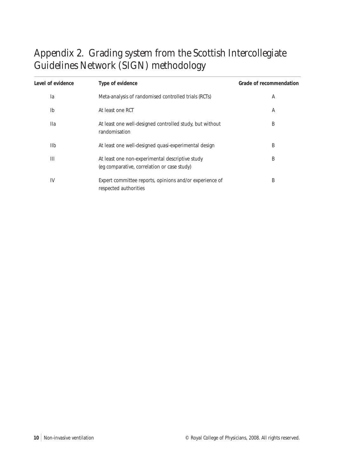# <span id="page-11-0"></span>Appendix 2. Grading system from the Scottish Intercollegiate Guidelines Network (SIGN) methodology

| Level of evidence | Type of evidence                                                                               | Grade of recommendation |
|-------------------|------------------------------------------------------------------------------------------------|-------------------------|
| la                | Meta-analysis of randomised controlled trials (RCTs)                                           | A                       |
| I <sub>b</sub>    | At least one RCT                                                                               | A                       |
| <b>Ila</b>        | At least one well-designed controlled study, but without<br>randomisation                      | B                       |
| <b>IIb</b>        | At least one well-designed quasi-experimental design                                           | B                       |
| Ш                 | At least one non-experimental descriptive study<br>(eg comparative, correlation or case study) | B                       |
| IV                | Expert committee reports, opinions and/or experience of<br>respected authorities               | B                       |